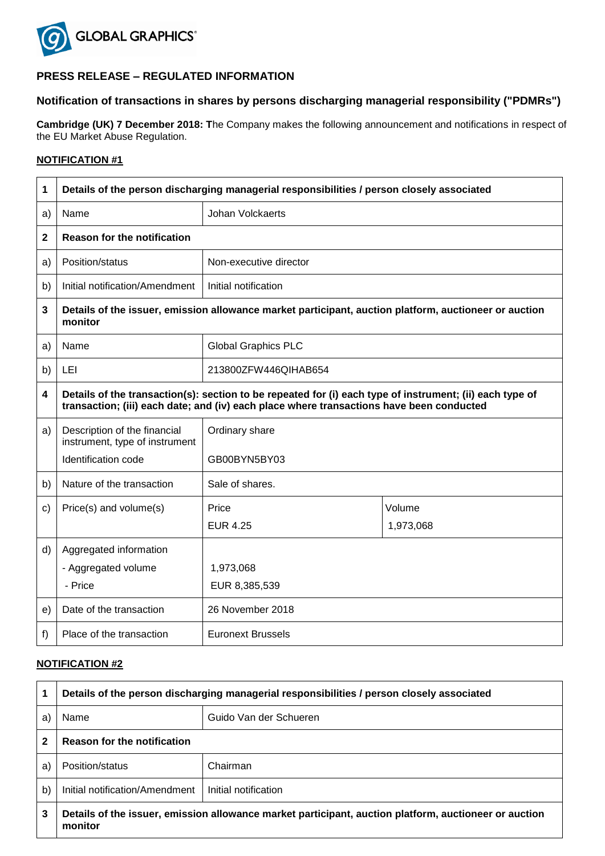

# **PRESS RELEASE – REGULATED INFORMATION**

## **Notification of transactions in shares by persons discharging managerial responsibility ("PDMRs")**

**Cambridge (UK) 7 December 2018: T**he Company makes the following announcement and notifications in respect of the EU Market Abuse Regulation.

### **NOTIFICATION #1**

| 1  | Details of the person discharging managerial responsibilities / person closely associated                        |                                                                                                                                                                                                      |           |  |  |
|----|------------------------------------------------------------------------------------------------------------------|------------------------------------------------------------------------------------------------------------------------------------------------------------------------------------------------------|-----------|--|--|
| a) | Name                                                                                                             | Johan Volckaerts                                                                                                                                                                                     |           |  |  |
| 2  | <b>Reason for the notification</b>                                                                               |                                                                                                                                                                                                      |           |  |  |
| a) | Position/status                                                                                                  | Non-executive director                                                                                                                                                                               |           |  |  |
| b) | Initial notification/Amendment                                                                                   | Initial notification                                                                                                                                                                                 |           |  |  |
| 3  | Details of the issuer, emission allowance market participant, auction platform, auctioneer or auction<br>monitor |                                                                                                                                                                                                      |           |  |  |
| a) | Name                                                                                                             | <b>Global Graphics PLC</b>                                                                                                                                                                           |           |  |  |
| b) | LEI                                                                                                              | 213800ZFW446QIHAB654                                                                                                                                                                                 |           |  |  |
| 4  |                                                                                                                  | Details of the transaction(s): section to be repeated for (i) each type of instrument; (ii) each type of<br>transaction; (iii) each date; and (iv) each place where transactions have been conducted |           |  |  |
| a) | Description of the financial<br>instrument, type of instrument<br>Identification code                            | Ordinary share<br>GB00BYN5BY03                                                                                                                                                                       |           |  |  |
|    |                                                                                                                  |                                                                                                                                                                                                      |           |  |  |
| b) | Nature of the transaction                                                                                        | Sale of shares.                                                                                                                                                                                      |           |  |  |
| c) | Price(s) and volume(s)                                                                                           | Price                                                                                                                                                                                                | Volume    |  |  |
|    |                                                                                                                  | <b>EUR 4.25</b>                                                                                                                                                                                      | 1,973,068 |  |  |
| d) | Aggregated information                                                                                           |                                                                                                                                                                                                      |           |  |  |
|    | - Aggregated volume                                                                                              | 1,973,068                                                                                                                                                                                            |           |  |  |
|    | - Price                                                                                                          | EUR 8,385,539                                                                                                                                                                                        |           |  |  |
| e) | Date of the transaction                                                                                          | 26 November 2018                                                                                                                                                                                     |           |  |  |
| f) | Place of the transaction                                                                                         | <b>Euronext Brussels</b>                                                                                                                                                                             |           |  |  |

## **NOTIFICATION #2**

|              | Details of the person discharging managerial responsibilities / person closely associated                        |                        |  |
|--------------|------------------------------------------------------------------------------------------------------------------|------------------------|--|
| a            | Name                                                                                                             | Guido Van der Schueren |  |
|              | <b>Reason for the notification</b>                                                                               |                        |  |
| a)           | Position/status                                                                                                  | Chairman               |  |
| $\mathsf{b}$ | Initial notification/Amendment                                                                                   | Initial notification   |  |
| 3            | Details of the issuer, emission allowance market participant, auction platform, auctioneer or auction<br>monitor |                        |  |